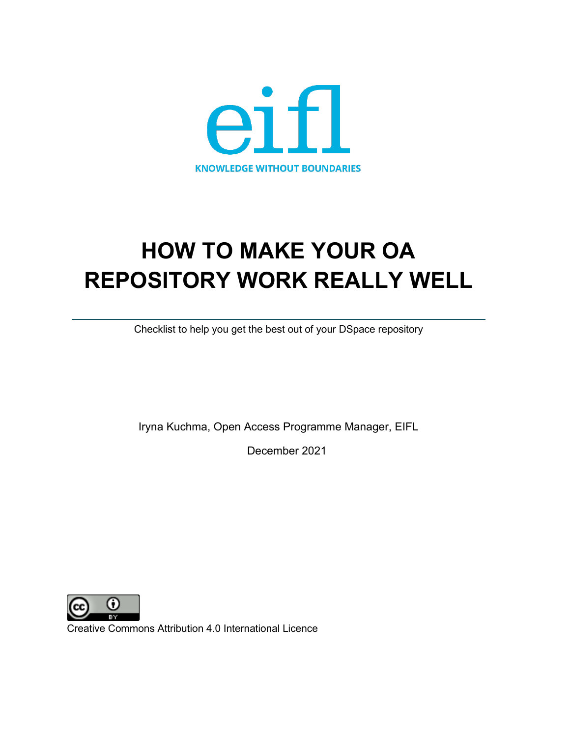

# **HOW TO MAKE YOUR OA REPOSITORY WORK REALLY WELL**

Checklist to help you get the best out of your DSpace repository

Iryna Kuchma, Open Access Programme Manager, EIFL

December 2021



Creative Commons Attribution 4.0 International Licence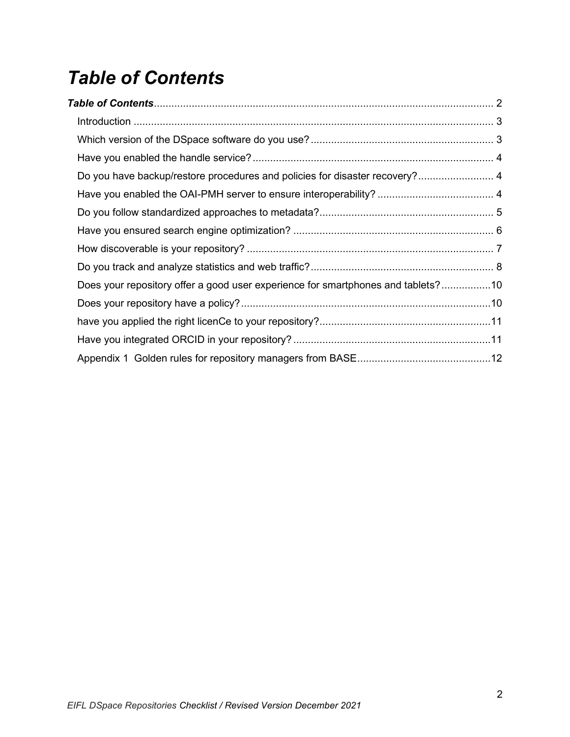## <span id="page-1-0"></span>*Table of Contents*

| Do you have backup/restore procedures and policies for disaster recovery? 4      |  |
|----------------------------------------------------------------------------------|--|
|                                                                                  |  |
|                                                                                  |  |
|                                                                                  |  |
|                                                                                  |  |
|                                                                                  |  |
| Does your repository offer a good user experience for smartphones and tablets?10 |  |
|                                                                                  |  |
|                                                                                  |  |
|                                                                                  |  |
|                                                                                  |  |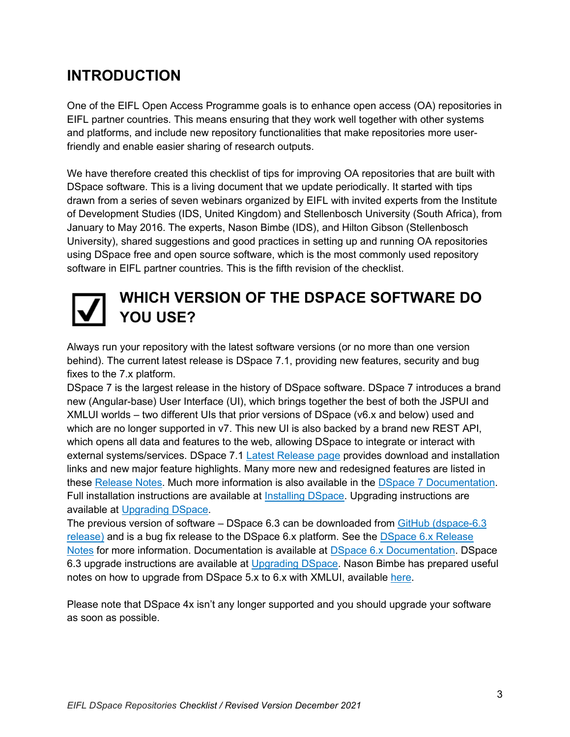### <span id="page-2-0"></span>**INTRODUCTION**

One of the EIFL Open Access Programme goals is to enhance open access (OA) repositories in EIFL partner countries. This means ensuring that they work well together with other systems and platforms, and include new repository functionalities that make repositories more userfriendly and enable easier sharing of research outputs.

We have therefore created this checklist of tips for improving OA repositories that are built with DSpace software. This is a living document that we update periodically. It started with tips drawn from a series of seven webinars organized by EIFL with invited experts from the Institute of Development Studies (IDS, United Kingdom) and Stellenbosch University (South Africa), from January to May 2016. The experts, Nason Bimbe (IDS), and Hilton Gibson (Stellenbosch University), shared suggestions and good practices in setting up and running OA repositories using DSpace free and open source software, which is the most commonly used repository software in EIFL partner countries. This is the fifth revision of the checklist.

### <span id="page-2-1"></span>**WHICH VERSION OF THE DSPACE SOFTWARE DO YOU USE?**

Always run your repository with the latest software versions (or no more than one version behind). The current latest release is DSpace 7.1, providing new features, security and bug fixes to the 7.x platform.

DSpace 7 is the largest release in the history of DSpace software. DSpace 7 introduces a brand new (Angular-base) User Interface (UI), which brings together the best of both the JSPUI and XMLUI worlds – two different UIs that prior versions of DSpace (v6.x and below) used and which are no longer supported in v7. This new UI is also backed by a brand new REST API, which opens all data and features to the web, allowing DSpace to integrate or interact with external systems/services. DSpace 7.1 [Latest Release page](https://duraspace.org/dspace/download/) provides download and installation links and new major feature highlights. Many more new and redesigned features are listed in these [Release Notes.](https://wiki.lyrasis.org/display/DSDOC7x/Release+Notes) Much more information is also available in the [DSpace 7 Documentation.](https://wiki.lyrasis.org/display/DSDOC7x/) Full installation instructions are available at [Installing DSpace.](https://wiki.lyrasis.org/display/DSDOC7x/Installing+DSpace) Upgrading instructions are available at [Upgrading DSpace.](https://wiki.lyrasis.org/display/DSDOC7x/Upgrading+DSpace)

The previous version of software – DSpace 6.3 can be downloaded from [GitHub \(dspace-6.3](https://github.com/DSpace/DSpace/releases/tag/dspace-6.3)  [release\)](https://github.com/DSpace/DSpace/releases/tag/dspace-6.3) and is a bug fix release to the DSpace 6.x platform. See the [DSpace 6.x Release](https://wiki.duraspace.org/display/DSDOC6x/Release+Notes)  [Notes](https://wiki.duraspace.org/display/DSDOC6x/Release+Notes) for more information. Documentation is available at [DSpace 6.x Documentation.](http://wiki.duraspace.org/display/DSDOC6x/) DSpace 6.3 upgrade instructions are available at [Upgrading DSpace.](https://wiki.duraspace.org/display/DSDOC6x/Upgrading+DSpace) Nason Bimbe has prepared useful notes on how to upgrade from DSpace 5.x to 6.x with XMLUI, available [here.](https://doi.org/10.5281/zenodo.1095492)

Please note that DSpace 4x isn't any longer supported and you should upgrade your software as soon as possible.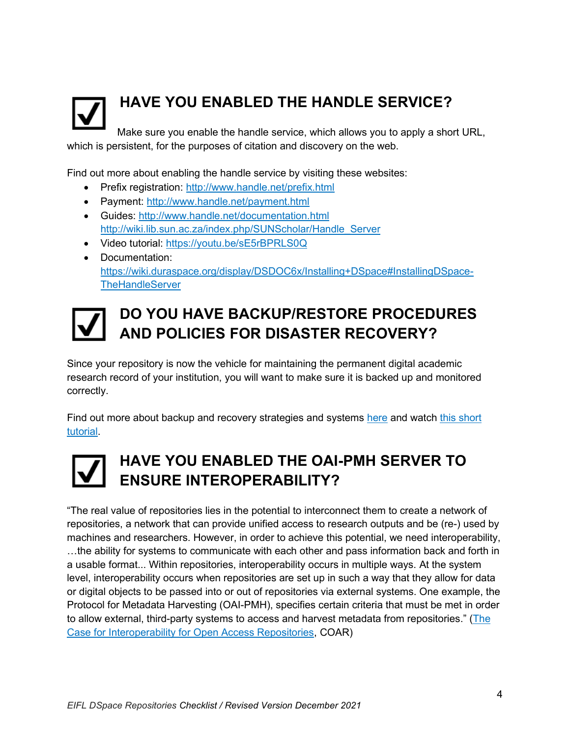

## <span id="page-3-0"></span>**HAVE YOU ENABLED THE HANDLE SERVICE?**

Make sure you enable the handle service, which allows you to apply a short URL, which is persistent, for the purposes of citation and discovery on the web.

Find out more about enabling the handle service by visiting these websites:

- Prefix registration:<http://www.handle.net/prefix.html>
- Payment:<http://www.handle.net/payment.html>
- Guides:<http://www.handle.net/documentation.html> [http://wiki.lib.sun.ac.za/index.php/SUNScholar/Handle\\_Server](http://wiki.lib.sun.ac.za/index.php/SUNScholar/Handle_Server)
- Video tutorial: <https://youtu.be/sE5rBPRLS0Q>
- Documentation: [https://wiki.duraspace.org/display/DSDOC6x/Installing+DSpace#InstallingDSpace-](https://wiki.duraspace.org/display/DSDOC6x/Installing+DSpace#InstallingDSpace-TheHandleServer)**[TheHandleServer](https://wiki.duraspace.org/display/DSDOC6x/Installing+DSpace#InstallingDSpace-TheHandleServer)**



### <span id="page-3-1"></span>**DO YOU HAVE BACKUP/RESTORE PROCEDURES AND POLICIES FOR DISASTER RECOVERY?**

Since your repository is now the vehicle for maintaining the permanent digital academic research record of your institution, you will want to make sure it is backed up and monitored correctly.

Find out more about backup and recovery strategies and systems [here](http://wiki.lib.sun.ac.za/index.php/SUNScholar/Disaster_Recovery) and watch [this short](https://youtu.be/c7cO70G6w1s)  [tutorial.](https://youtu.be/c7cO70G6w1s)



### <span id="page-3-2"></span>**HAVE YOU ENABLED THE OAI-PMH SERVER TO ENSURE INTEROPERABILITY?**

"The real value of repositories lies in the potential to interconnect them to create a network of repositories, a network that can provide unified access to research outputs and be (re-) used by machines and researchers. However, in order to achieve this potential, we need interoperability, …the ability for systems to communicate with each other and pass information back and forth in a usable format... Within repositories, interoperability occurs in multiple ways. At the system level, interoperability occurs when repositories are set up in such a way that they allow for data or digital objects to be passed into or out of repositories via external systems. One example, the Protocol for Metadata Harvesting (OAI-PMH), specifies certain criteria that must be met in order to allow external, third-party systems to access and harvest metadata from repositories." [\(The](https://www.coar-repositories.org/files/A-Case-for-Interoperability-Final-Version.pdf)  [Case for Interoperability for Open Access Repositories,](https://www.coar-repositories.org/files/A-Case-for-Interoperability-Final-Version.pdf) COAR)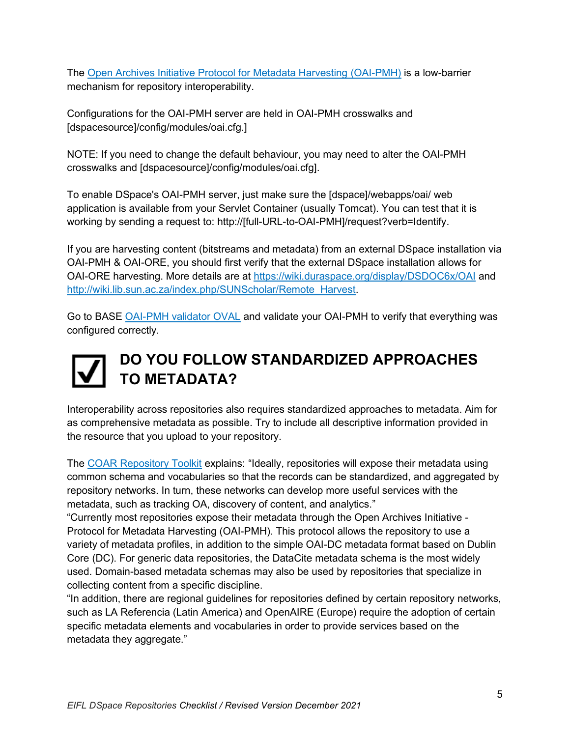The [Open Archives Initiative Protocol for Metadata Harvesting \(OAI-PMH\)](https://www.openarchives.org/pmh/) is a low-barrier mechanism for repository interoperability.

Configurations for the OAI-PMH server are held in OAI-PMH crosswalks and [dspacesource]/config/modules/oai.cfg.]

NOTE: If you need to change the default behaviour, you may need to alter the OAI-PMH crosswalks and [dspacesource]/config/modules/oai.cfg].

To enable DSpace's OAI-PMH server, just make sure the [dspace]/webapps/oai/ web application is available from your Servlet Container (usually Tomcat). You can test that it is working by sending a request to[:](about:blank) http://[full-URL-to-OAI-PMH]/request?verb=Identify.

If you are harvesting content (bitstreams and metadata) from an external DSpace installation via OAI-PMH & OAI-ORE, you should first verify that the external DSpace installation allows for OAI-ORE harvesting. More details are a[t](https://wiki.duraspace.org/display/DSDOC6x/OAI) <https://wiki.duraspace.org/display/DSDOC6x/OAI> an[d](http://wiki.lib.sun.ac.za/index.php/SUNScholar/Remote_Harvest) [http://wiki.lib.sun.ac.za/index.php/SUNScholar/Remote\\_Harvest.](http://wiki.lib.sun.ac.za/index.php/SUNScholar/Remote_Harvest)

Go to BASE [OAI-PMH validator OVAL](http://oval.base-search.net/) and validate your OAI-PMH to verify that everything was configured correctly.

## <span id="page-4-0"></span>**DO YOU FOLLOW STANDARDIZED APPROACHES TO METADATA?**

Interoperability across repositories also requires standardized approaches to metadata. Aim for as comprehensive metadata as possible. Try to include all descriptive information provided in the resource that you upload to your repository.

The [COAR Repository Toolkit](https://coartraining.gitbook.io/coar-repository-toolkit/interoperability/metadata-and-vocabularies) explains: "Ideally, repositories will expose their metadata using common schema and vocabularies so that the records can be standardized, and aggregated by repository networks. In turn, these networks can develop more useful services with the metadata, such as tracking OA, discovery of content, and analytics."

"Currently most repositories expose their metadata through the Open Archives Initiative - Protocol for Metadata Harvesting (OAI-PMH). This protocol allows the repository to use a variety of metadata profiles, in addition to the simple OAI-DC metadata format based on Dublin Core (DC). For generic data repositories, the DataCite metadata schema is the most widely used. Domain-based metadata schemas may also be used by repositories that specialize in collecting content from a specific discipline.

"In addition, there are regional guidelines for repositories defined by certain repository networks, such as LA Referencia (Latin America) and OpenAIRE (Europe) require the adoption of certain specific metadata elements and vocabularies in order to provide services based on the metadata they aggregate."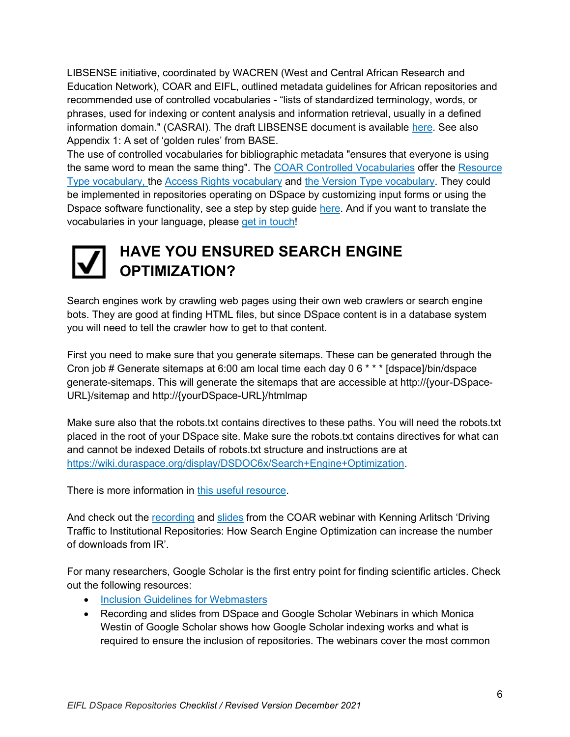LIBSENSE initiative, coordinated by WACREN (West and Central African Research and Education Network), COAR and EIFL, outlined metadata guidelines for African repositories and recommended use of controlled vocabularies - "lists of standardized terminology, words, or phrases, used for indexing or content analysis and information retrieval, usually in a defined information domain." (CASRAI). The draft LIBSENSE document is available [here.](https://spaces.wacren.net/pages/viewpage.action?pageId=4587538) See also Appendix 1: A set of 'golden rules' from BASE.

The use of controlled vocabularies for bibliographic metadata "ensures that everyone is using the same word to mean the same thing". The [COAR Controlled Vocabularies](https://vocabularies.coar-repositories.org/) offer the [Resource](https://vocabularies.coar-repositories.org/resource_types/)  [Type vocabulary,](https://vocabularies.coar-repositories.org/resource_types/) the [Access Rights vocabulary](https://vocabularies.coar-repositories.org/access_rights/) and [the Version Type vocabulary.](https://vocabularies.coar-repositories.org/version_types/) They could be implemented in repositories operating on DSpace by customizing input forms or using the Dspace software functionality, see a step by step guide [here.](https://coar-repositories.github.io/vocabularies-implementation-guide/#implementation-in-dspace-and-dspace-cris) And if you want to translate the vocabularies in your language, please [get in touch!](https://vocabularies.coar-repositories.org/about/)



### <span id="page-5-0"></span>**HAVE YOU ENSURED SEARCH ENGINE OPTIMIZATION?**

Search engines work by crawling web pages using their own web crawlers or search engine bots. They are good at finding HTML files, but since DSpace content is in a database system you will need to tell the crawler how to get to that content.

First you need to make sure that you generate sitemaps. These can be generated through the Cron job # Generate sitemaps at 6:00 am local time each day 0 6 \* \* \* [dspace]/bin/dspace generate-sitemaps. This will generate the sitemaps that are accessible at http://{your-DSpace-URL}/sitemap and http://{yourDSpace-URL}/htmlmap

Make sure also that the robots.txt contains directives to these paths. You will need the robots.txt placed in the root of your DSpace site. Make sure the robots.txt contains directives for what can and cannot be indexed Details of robots.txt structure and instructions are a[t](https://wiki.duraspace.org/display/DSDOC6x/Search+Engine+Optimization) [https://wiki.duraspace.org/display/DSDOC6x/Search+Engine+Optimization.](https://wiki.duraspace.org/display/DSDOC6x/Search+Engine+Optimization)

There is more information in [this useful resource.](http://wiki.lib.sun.ac.za/index.php/SUNScholar/Repository_Website_Metrics)

And check out the [recording](https://youtu.be/VPXRPi-kES4) and [slides](http://doi.org/10.5281/zenodo.894564) from the COAR webinar with Kenning Arlitsch 'Driving Traffic to Institutional Repositories: How Search Engine Optimization can increase the number of downloads from IR'.

For many researchers, Google Scholar is the first entry point for finding scientific articles. Check out the following resources:

- [Inclusion Guidelines for Webmasters](https://scholar.google.com/intl/en/scholar/inclusion.html#overview)
- Recording and slides from DSpace and Google Scholar Webinars in which Monica Westin of Google Scholar shows how Google Scholar indexing works and what is required to ensure the inclusion of repositories. The webinars cover the most common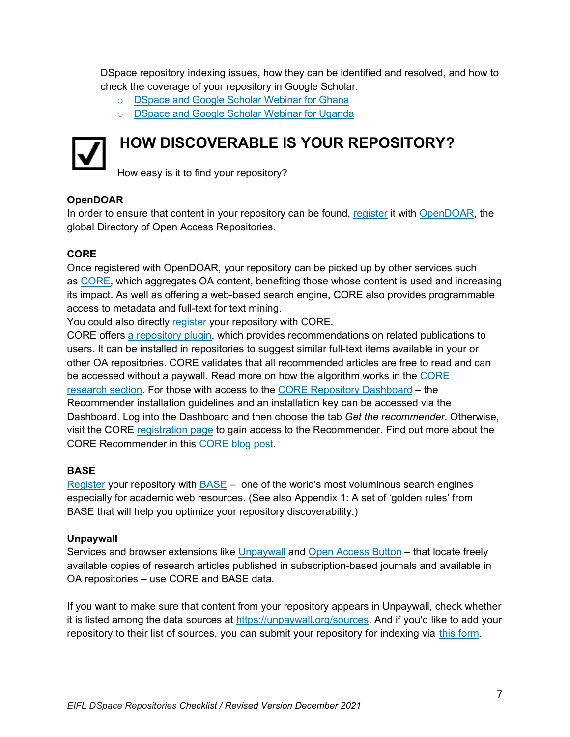DSpace repository indexing issues, how they can be identified and resolved, and how to check the coverage of your repository in Google Scholar.

- o [DSpace and Google Scholar Webinar for Ghana](https://wiki.duraspace.org/display/DSPACE/Webinar+-+DSpace+and+Google+Scholar+Webinar+for+Ghana)
- o [DSpace and Google Scholar Webinar for Uganda](https://wiki.duraspace.org/display/DSPACE/DSpace+and+Google+Scholar+Webinar+for+Uganda)



### <span id="page-6-0"></span>**HOW DISCOVERABLE IS YOUR REPOSITORY?**

How easy is it to find your repository?

#### **OpenDOAR**

In order to ensure that content in your repository can be found, [register](https://www.jisc.ac.uk/forms/register-your-repository-in-opendoar) it with [OpenDOAR,](http://v2.sherpa.ac.uk/opendoar/) the global Directory of Open Access Repositories.

#### **CORE**

Once registered with OpenDOAR, your repository can be picked up by other services such as [CORE,](https://core.ac.uk/) which aggregates OA content, benefiting those whose content is used and increasing its impact. As well as offering a web-based search engine, CORE also provides programmable access to metadata and full-text for text mining.

You could also directly [register](https://core.ac.uk/services/repository-dashboard) your repository with CORE.

CORE offers a [repository plugin,](https://core.ac.uk/services/recommender/) which provides recommendations on related publications to users. It can be installed in repositories to suggest similar full-text items available in your or other OA repositories. CORE validates that all recommended articles are free to read and can be accessed without a paywall. Read more on how the algorithm works in the [CORE](https://core.ac.uk/about/research-outputs/)  [research](https://core.ac.uk/about/research-outputs/) section. For those with access to the [CORE Repository Dashboard](https://core.ac.uk/services/repository-dashboard/) – the Recommender installation guidelines and an installation key can be accessed via the Dashboard. Log into the Dashboard and then choose the tab *Get the recommender*. Otherwise, visit the CORE [registration page](https://core.ac.uk/recommender/register/) to gain access to the Recommender. Find out more about the CORE Recommender in this [CORE blog post.](https://blog.core.ac.uk/2016/10/04/core-recommender/)

#### **BASE**

[Register](https://www.base-search.net/about/en/suggest.php) your repository with [BASE](https://www.base-search.net/) – one of the world's most voluminous search engines especially for academic web resources. (See also Appendix 1: A set of 'golden rules' from BASE that will help you optimize your repository discoverability.)

#### **Unpaywall**

Services and browser extensions like [Unpaywall](https://unpaywall.org/) and [Open Access Button](https://openaccessbutton.org/) – that locate freely available copies of research articles published in subscription-based journals and available in OA repositories – use CORE and BASE data.

If you want to make sure that content from your repository appears in Unpaywall, check whether it is listed among the data sources at [https://unpaywall.org/sources.](https://unpaywall.org/sources) And if you'd like to add your repository to their list of sources, you can submit your repository for indexing via [this form.](https://goo.gl/forms/HBOMqdSFOHEeFOwj1)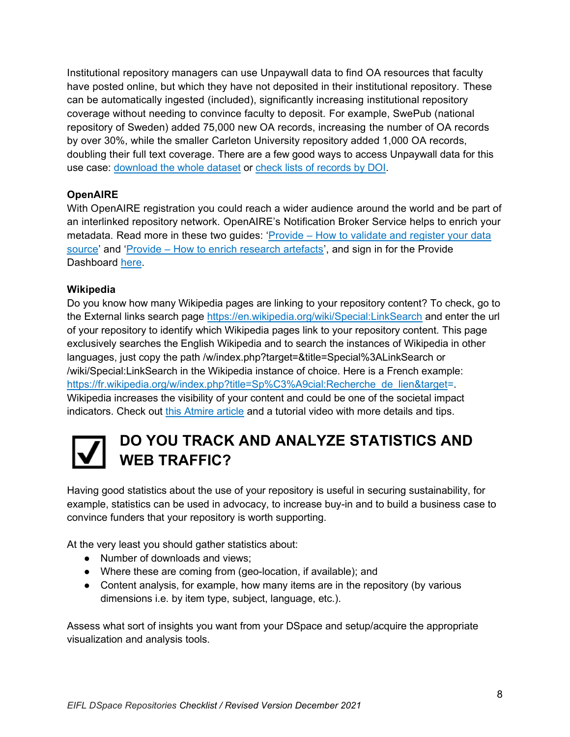Institutional repository managers can use Unpaywall data to find OA resources that faculty have posted online, but which they have not deposited in their institutional repository. These can be automatically ingested (included), significantly increasing institutional repository coverage without needing to convince faculty to deposit. For example, SwePub (national repository of Sweden) added 75,000 new OA records, increasing the number of OA records by over 30%, while the smaller Carleton University repository added 1,000 OA records, doubling their full text coverage. There are a few good ways to access Unpaywall data for this use case: [download the whole dataset](https://unpaywall.org/products/snapshot) or [check lists of records by DOI](https://unpaywall.org/products/simple-query-tool)[.](https://blog.impactstory.org/elsevier-data-feed/)

### **OpenAIRE**

With OpenAIRE registration you could reach a wider audience around the world and be part of an interlinked repository network. OpenAIRE's Notification Broker Service helps to enrich your metadata. Read more in these two guides: 'Provide – [How to validate and register your data](https://www.openaire.eu/validator-registration-guide)  [source](https://www.openaire.eu/validator-registration-guide)' and 'Provide – [How to enrich research artefacts](https://www.openaire.eu/content-enrichment-guide)', and sign in for the Provide Dashboard [here.](https://provide.openaire.eu/)

### **Wikipedia**

Do you know how many Wikipedia pages are linking to your repository content? To check, go to the External links search page<https://en.wikipedia.org/wiki/Special:LinkSearch> and enter the url of your repository to identify which Wikipedia pages link to your repository content. This page exclusively searches the English Wikipedia and to search the instances of Wikipedia in other languages, just copy the path /w/index.php?target=&title=Special%3ALinkSearch or /wiki/Special:LinkSearch in the Wikipedia instance of choice. Here is a French example: [https://fr.wikipedia.org/w/index.php?title=Sp%C3%A9cial:Recherche\\_de\\_lien&target=](https://fr.wikipedia.org/w/index.php?title=Sp%C3%A9cial:Recherche_de_lien&target). Wikipedia increases the visibility of your content and could be one of the societal impact indicators. Check out [this Atmire article](https://www.atmire.com/articles/detail/wikipedia-assessing-and-maintaining-links-to-your-repository) and a tutorial video with more details and tips.

### <span id="page-7-0"></span>**DO YOU TRACK AND ANALYZE STATISTICS AND WEB TRAFFIC?**

Having good statistics about the use of your repository is useful in securing sustainability, for example, statistics can be used in advocacy, to increase buy-in and to build a business case to convince funders that your repository is worth supporting.

At the very least you should gather statistics about:

- Number of downloads and views;
- Where these are coming from (geo-location, if available); and
- Content analysis, for example, how many items are in the repository (by various dimensions i.e. by item type, subject, language, etc.).

Assess what sort of insights you want from your DSpace and setup/acquire the appropriate visualization and analysis tools.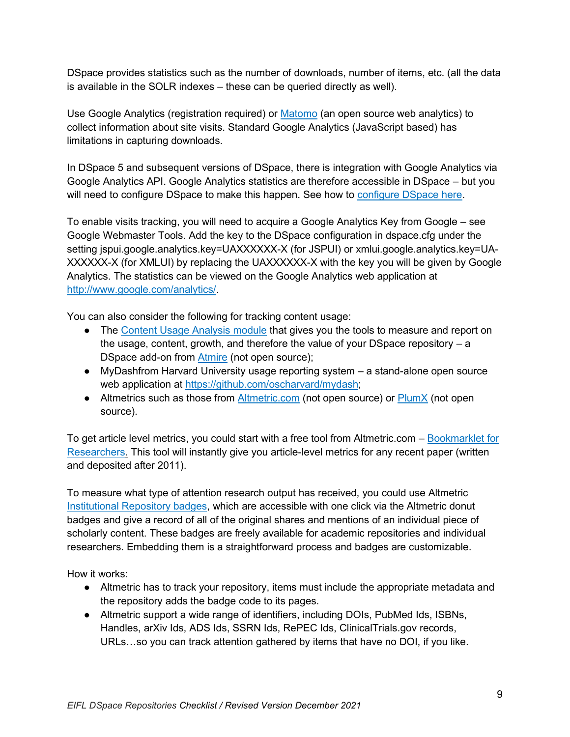DSpace provides statistics such as the number of downloads, number of items, etc. (all the data is available in the SOLR indexes – these can be queried directly as well).

Use Google Analytics (registration required) or [Matomo](https://matomo.org/) (an open source web analytics) to collect information about site visits. Standard Google Analytics (JavaScript based) has limitations in capturing downloads.

In DSpace 5 and subsequent versions of DSpace, there is integration with Google Analytics via Google Analytics API. Google Analytics statistics are therefore accessible in DSpace – but you will need to configure DSpace to make this happen. See how to [configure DSpace here.](https://wiki.duraspace.org/display/DSDOC6x/DSpace+Google+Analytics+Statistics)

To enable visits tracking, you will need to acquire a Google Analytics Key from Google – see Google Webmaster Tools. Add the key to the DSpace configuration in dspace.cfg under the setting jspui.google.analytics.key=UAXXXXXX-X (for JSPUI) or xmlui.google.analytics.key=UA-XXXXXX-X (for XMLUI) by replacing the UAXXXXXX-X with the key you will be given by Google Analytics. The statistics can be viewed on the Google Analytics web application a[t](http://www.google.com/analytics/) [http://www.google.com/analytics/.](http://www.google.com/analytics/)

You can also consider the following for tracking content usage:

- Th[e](https://www.atmire.com/modules/content-usage-analysis-for-dspace) [Content Usage Analysis module](https://www.atmire.com/modules/content-usage-analysis-for-dspace) that gives you the tools to measure and report on the usage, content, growth, and therefore the value of your DSpace repository – a DSpace add-on fro[m](https://www.atmire.com/) **[Atmire](https://www.atmire.com/)** (not open source);
- MyDashfrom Harvard University usage reporting system a stand-alone open source web application a[t](https://github.com/oscharvard/mydash) [https://github.com/oscharvard/mydash;](https://github.com/oscharvard/mydash)
- Altmet[r](https://plumanalytics.com/products/plumx-metrics/)ics such as those from **[Altmetric.com](https://www.altmetric.com/)** (not open source) or **[PlumX](https://plumanalytics.com/products/plumx-metrics/)** (not open source).

To get article level metrics, you could start with a free tool from Altmetric.com [–](https://www.altmetric.com/products/free-tools/bookmarklet/) [Bookmarklet for](https://www.altmetric.com/products/free-tools/bookmarklet/)  [Researchers.](https://www.altmetric.com/products/free-tools/bookmarklet/) This tool will instantly give you article-level metrics for any recent paper (written and deposited after 2011).

To measure what type of attention research output has received, you could use Altmetric [Institutional Repository badges,](https://www.altmetric.com/products/free-tools/institutional-repository-badges/) which are accessible with one click via the Altmetric donut badges and give a record of all of the original shares and mentions of an individual piece of scholarly content. These badges are freely available for academic repositories and individual researchers. Embedding them is a straightforward process and badges are customizable.

How it works:

- Altmetric has to track your repository, items must include the appropriate metadata and the repository adds the badge code to its pages.
- Altmetric support a wide range of identifiers, including DOIs, PubMed Ids, ISBNs, Handles, arXiv Ids, ADS Ids, SSRN Ids, RePEC Ids, ClinicalTrials.gov records, URLs…so you can track attention gathered by items that have no DOI, if you like.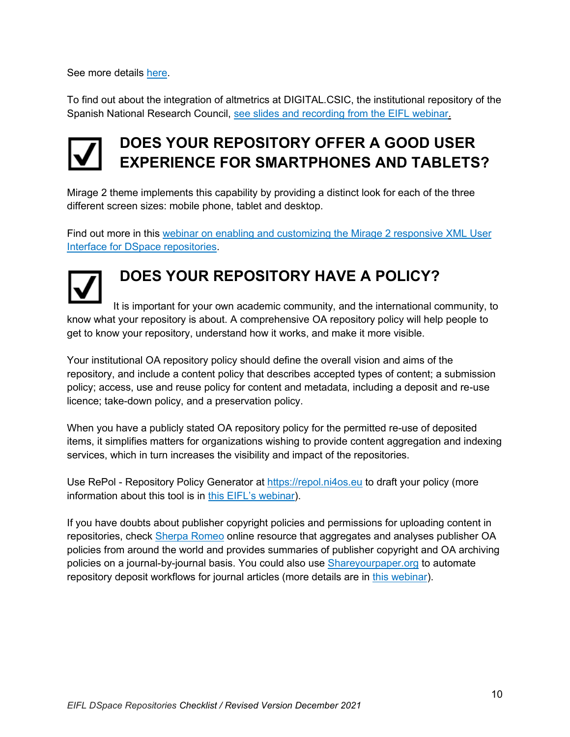See more details [here.](https://help.altmetric.com/support/solutions/articles/6000241748-adding-badges-to-an-institutional-repository)

To find out about the integration of altmetrics at DIGITAL.CSIC, the institutional repository of the Spanish National Research Council, [see slides and recording from the EIFL](http://www.eifl.net/resources/eifl-webinar-altmetrics-and-open-peer-review-modules-repositories) webinar.

### <span id="page-9-0"></span>**DOES YOUR REPOSITORY OFFER A GOOD USER EXPERIENCE FOR SMARTPHONES AND TABLETS?**

Mirage 2 theme implements this capability by providing a distinct look for each of the three different screen sizes: mobile phone, tablet and desktop.

Find out more in this [webinar on enabling and customizing the Mirage 2 responsive XML User](http://eifl.net/resources/webinar-enabling-and-customizing-mirage-2-responsive-xmlui-dspace-repository)  [Interface for DSpace repositories.](http://eifl.net/resources/webinar-enabling-and-customizing-mirage-2-responsive-xmlui-dspace-repository)

### <span id="page-9-1"></span>**DOES YOUR REPOSITORY HAVE A POLICY?**

It is important for your own academic community, and the international community, to know what your repository is about. A comprehensive OA repository policy will help people to get to know your repository, understand how it works, and make it more visible.

Your institutional OA repository policy should define the overall vision and aims of the repository, and include a content policy that describes accepted types of content; a submission policy; access, use and reuse policy for content and metadata, including a deposit and re-use licence; take-down policy, and a preservation policy.

When you have a publicly stated OA repository policy for the permitted re-use of deposited items, it simplifies matters for organizations wishing to provide content aggregation and indexing services, which in turn increases the visibility and impact of the repositories.

Use RePol - Repository Policy Generator at [https://repol.ni4os.eu](https://repol.ni4os.eu/) to draft your policy (more information about this tool is in [this EIFL's webinar](https://eifl.net/resources/eifl-webinar-repol-repository-policy-generator-and-shareyourpaperorg)).

If you have doubts about publisher copyright policies and permissions for uploading content in repositories, check [Sherpa Romeo](https://v2.sherpa.ac.uk/romeo/) online resource that aggregates and analyses publisher OA policies from around the world and provides summaries of publisher copyright and OA archiving policies on a journal-by-journal basis. You could also use **Shareyourpaper.org** to automate repository deposit workflows for journal articles (more details are in [this webinar\)](https://eifl.net/resources/eifl-webinar-how-use-shareyourpaperorg-automate-repository-deposit-workflows-journal).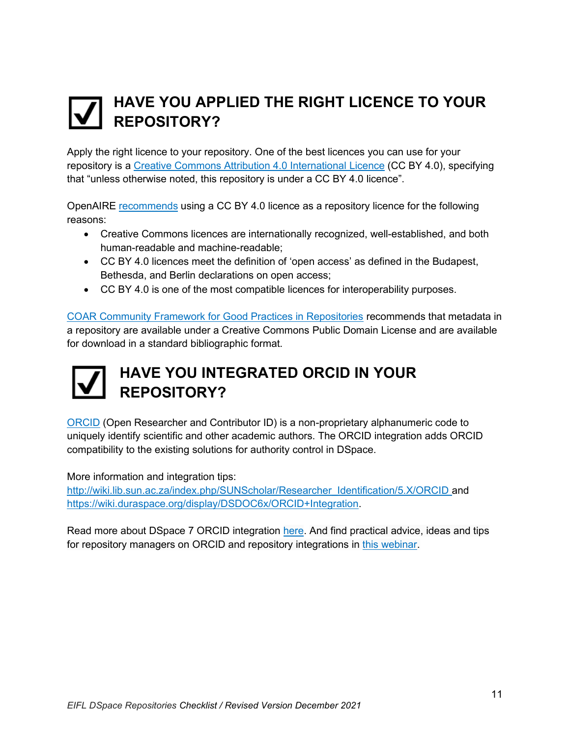### <span id="page-10-0"></span>**HAVE YOU APPLIED THE RIGHT LICENCE TO YOUR REPOSITORY?**

Apply the right licence to your repository. One of the best licences you can use for your repository is a [Creative Commons Attribution 4.0 International Licence](https://creativecommons.org/licenses/by/4.0/) (CC BY 4.0), specifying that "unless otherwise noted, this repository is under a CC BY 4.0 licence".

OpenAIRE [recommends](https://www.openaire.eu/making-your-repository-open) using a CC BY 4.0 licence as a repository licence for the following reasons:

- Creative Commons licences are internationally recognized, well-established, and both human-readable and machine-readable;
- CC BY 4.0 licences meet the definition of 'open access' as defined in the Budapest, Bethesda, and Berlin declarations on open access;
- CC BY 4.0 is one of the most compatible licences for interoperability purposes.

[COAR Community Framework for Good Practices in Repositories](https://www.coar-repositories.org/coar-community-framework-for-good-practices-in-repositories/) recommends that metadata in a repository are available under a Creative Commons Public Domain License and are available for download in a standard bibliographic format.

### <span id="page-10-1"></span>**HAVE YOU INTEGRATED ORCID IN YOUR REPOSITORY?**

[ORCID](https://orcid.org/) (Open Researcher and Contributor ID) is a non-proprietary alphanumeric code to uniquely identify scientific and other academic authors. The ORCID integration adds ORCID compatibility to the existing solutions for authority control in DSpace.

More information and integration tips:

[http://wiki.lib.sun.ac.za/index.php/SUNScholar/Researcher\\_Identification/5.X/ORCID](http://wiki.lib.sun.ac.za/index.php/SUNScholar/Researcher_Identification/5.X/ORCID) an[d](https://wiki.duraspace.org/display/DSDOC6x/ORCID+Integration) [https://wiki.duraspace.org/display/DSDOC6x/ORCID+Integration.](https://wiki.duraspace.org/display/DSDOC6x/ORCID+Integration)

Read more about DSpace 7 ORCID integration [here.](https://wiki.lyrasis.org/display/DSDOC7x/ORCID+Integration) And find practical advice, ideas and tips for repository managers on ORCID and repository integrations in [this webinar.](https://eifl.net/resources/webinar-orcid-and-repository-integrations)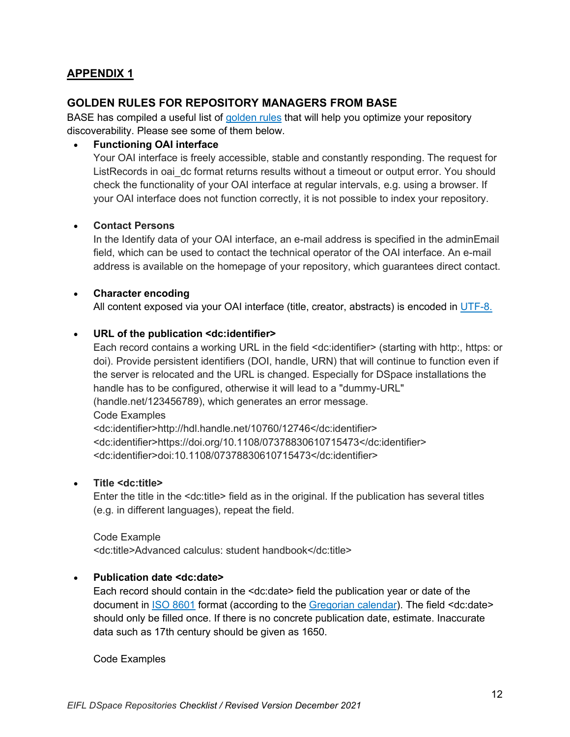### <span id="page-11-0"></span>**APPENDIX 1**

### **GOLDEN RULES FOR REPOSITORY MANAGERS FROM BASE**

BASE has compiled a useful list of [golden rules](https://www.base-search.net/about/en/faq_oai.php) that will help you optimize your repository discoverability. Please see some of them below.

#### • **Functioning OAI interface**

Your OAI interface is freely accessible, stable and constantly responding. The request for ListRecords in oai dc format returns results without a timeout or output error. You should check the functionality of your OAI interface at regular intervals, e.g. using a browser. If your OAI interface does not function correctly, it is not possible to index your repository.

#### • **Contact Persons**

In the Identify data of your OAI interface, an e-mail address is specified in the adminEmail field, which can be used to contact the technical operator of the OAI interface. An e-mail address is available on the homepage of your repository, which guarantees direct contact.

#### • **Character encoding**

All content exposed via your OAI interface (title, creator, abstracts) is encoded in [UTF-8.](https://de.wikipedia.org/wiki/UTF-8)

#### • **URL of the publication <dc:identifier>**

Each record contains a working URL in the field <dc:identifier> (starting with http:, https: or doi). Provide persistent identifiers (DOI, handle, URN) that will continue to function even if the server is relocated and the URL is changed. Especially for DSpace installations the handle has to be configured, otherwise it will lead to a "dummy-URL" (handle.net/123456789), which generates an error message. Code Examples <dc:identifier>http://hdl.handle.net/10760/12746</dc:identifier> <dc:identifier>https://doi.org/10.1108/07378830610715473</dc:identifier> <dc:identifier>doi:10.1108/07378830610715473</dc:identifier>

#### • **Title <dc:title>**

Enter the title in the <dc:title> field as in the original. If the publication has several titles (e.g. in different languages), repeat the field.

Code Example <dc:title>Advanced calculus: student handbook</dc:title>

#### • **Publication date <dc:date>**

Each record should contain in the <dc:date> field the publication year or date of the document in [ISO 8601](https://en.wikipedia.org/wiki/ISO_8601) format (according to the [Gregorian calendar\)](https://en.wikipedia.org/wiki/Gregorian_calendar). The field <dc:date> should only be filled once. If there is no concrete publication date, estimate. Inaccurate data such as 17th century should be given as 1650.

Code Examples